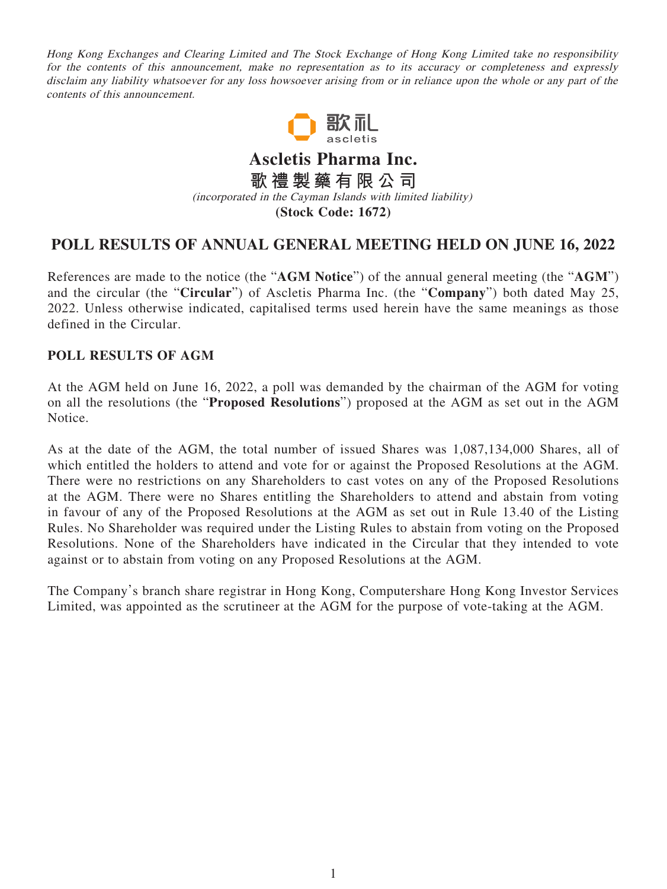Hong Kong Exchanges and Clearing Limited and The Stock Exchange of Hong Kong Limited take no responsibility for the contents of this announcement, make no representation as to its accuracy or completeness and expressly disclaim any liability whatsoever for any loss howsoever arising from or in reliance upon the whole or any part of the contents of this announcement.



**Ascletis Pharma Inc. 歌禮製藥有限公司** (incorporated in the Cayman Islands with limited liability) **(Stock Code: 1672)**

## **POLL RESULTS OF ANNUAL GENERAL MEETING HELD ON JUNE 16, 2022**

References are made to the notice (the "**AGM Notice**") of the annual general meeting (the "**AGM**") and the circular (the "**Circular**") of Ascletis Pharma Inc. (the "**Company**") both dated May 25, 2022. Unless otherwise indicated, capitalised terms used herein have the same meanings as those defined in the Circular.

## **POLL RESULTS OF AGM**

At the AGM held on June 16, 2022, a poll was demanded by the chairman of the AGM for voting on all the resolutions (the "**Proposed Resolutions**") proposed at the AGM as set out in the AGM Notice.

As at the date of the AGM, the total number of issued Shares was 1,087,134,000 Shares, all of which entitled the holders to attend and vote for or against the Proposed Resolutions at the AGM. There were no restrictions on any Shareholders to cast votes on any of the Proposed Resolutions at the AGM. There were no Shares entitling the Shareholders to attend and abstain from voting in favour of any of the Proposed Resolutions at the AGM as set out in Rule 13.40 of the Listing Rules. No Shareholder was required under the Listing Rules to abstain from voting on the Proposed Resolutions. None of the Shareholders have indicated in the Circular that they intended to vote against or to abstain from voting on any Proposed Resolutions at the AGM.

The Company's branch share registrar in Hong Kong, Computershare Hong Kong Investor Services Limited, was appointed as the scrutineer at the AGM for the purpose of vote-taking at the AGM.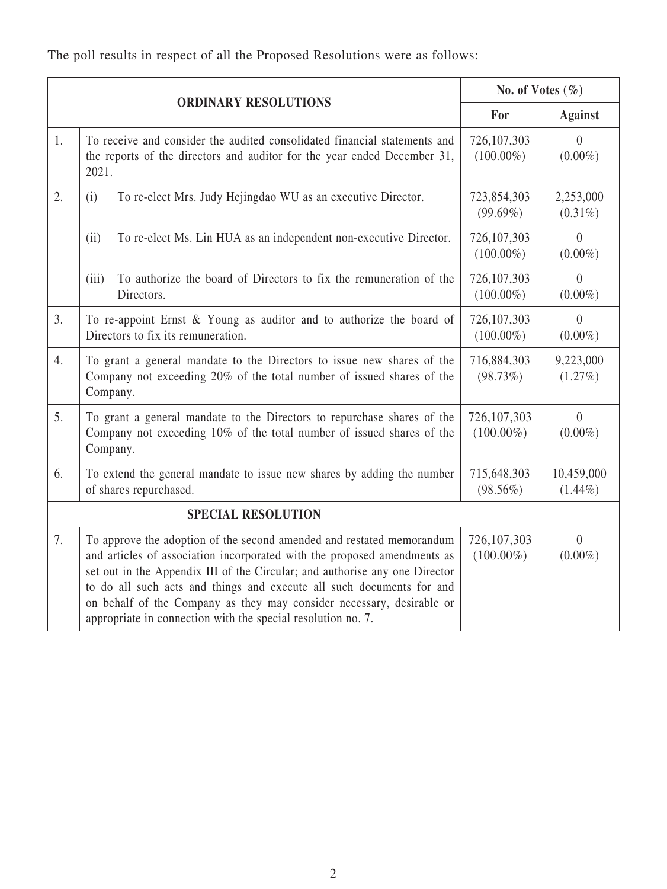The poll results in respect of all the Proposed Resolutions were as follows:

| <b>ORDINARY RESOLUTIONS</b> |                                                                                                                                                                                                                                                                                                                                                                                                                                                    | No. of Votes $(\% )$          |                              |
|-----------------------------|----------------------------------------------------------------------------------------------------------------------------------------------------------------------------------------------------------------------------------------------------------------------------------------------------------------------------------------------------------------------------------------------------------------------------------------------------|-------------------------------|------------------------------|
|                             |                                                                                                                                                                                                                                                                                                                                                                                                                                                    | For                           | <b>Against</b>               |
| 1.                          | To receive and consider the audited consolidated financial statements and<br>the reports of the directors and auditor for the year ended December 31,<br>2021.                                                                                                                                                                                                                                                                                     | 726,107,303<br>$(100.00\%)$   | $\theta$<br>$(0.00\%)$       |
| 2.                          | To re-elect Mrs. Judy Hejingdao WU as an executive Director.<br>(i)                                                                                                                                                                                                                                                                                                                                                                                | 723,854,303<br>$(99.69\%)$    | 2,253,000<br>$(0.31\%)$      |
|                             | (ii)<br>To re-elect Ms. Lin HUA as an independent non-executive Director.                                                                                                                                                                                                                                                                                                                                                                          | 726,107,303<br>$(100.00\%)$   | $\theta$<br>$(0.00\%)$       |
|                             | To authorize the board of Directors to fix the remuneration of the<br>(iii)<br>Directors.                                                                                                                                                                                                                                                                                                                                                          | 726,107,303<br>$(100.00\%)$   | $\Omega$<br>$(0.00\%)$       |
| 3.                          | To re-appoint Ernst & Young as auditor and to authorize the board of<br>Directors to fix its remuneration.                                                                                                                                                                                                                                                                                                                                         | 726,107,303<br>$(100.00\%)$   | $\theta$<br>$(0.00\%)$       |
| 4.                          | To grant a general mandate to the Directors to issue new shares of the<br>Company not exceeding 20% of the total number of issued shares of the<br>Company.                                                                                                                                                                                                                                                                                        | 716,884,303<br>(98.73%)       | 9,223,000<br>$(1.27\%)$      |
| 5.                          | To grant a general mandate to the Directors to repurchase shares of the<br>Company not exceeding 10% of the total number of issued shares of the<br>Company.                                                                                                                                                                                                                                                                                       | 726, 107, 303<br>$(100.00\%)$ | $\overline{0}$<br>$(0.00\%)$ |
| 6.                          | To extend the general mandate to issue new shares by adding the number<br>of shares repurchased.                                                                                                                                                                                                                                                                                                                                                   | 715,648,303<br>$(98.56\%)$    | 10,459,000<br>$(1.44\%)$     |
| <b>SPECIAL RESOLUTION</b>   |                                                                                                                                                                                                                                                                                                                                                                                                                                                    |                               |                              |
| 7.                          | To approve the adoption of the second amended and restated memorandum<br>and articles of association incorporated with the proposed amendments as<br>set out in the Appendix III of the Circular; and authorise any one Director<br>to do all such acts and things and execute all such documents for and<br>on behalf of the Company as they may consider necessary, desirable or<br>appropriate in connection with the special resolution no. 7. | 726, 107, 303<br>$(100.00\%)$ | $\overline{0}$<br>$(0.00\%)$ |